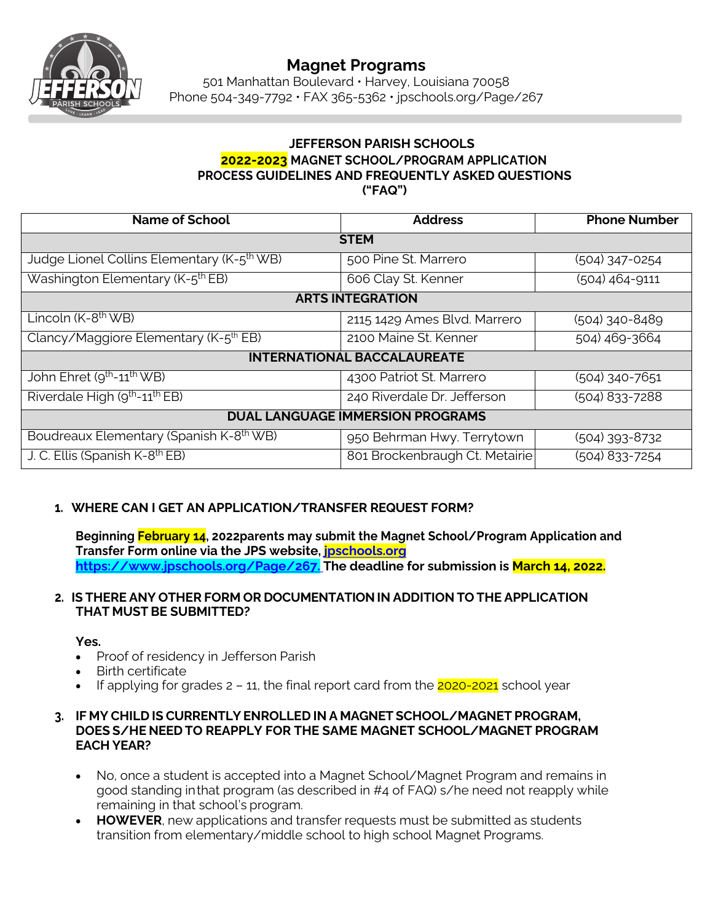

# **Magnet Programs**

501 Manhattan Boulevard • Harvey, Louisiana 70058 Phone 504-349-7792 • FAX 365-5362 • jpschools.org/Page/267

#### **JEFFERSON PARISH SCHOOLS 2022-2023 MAGNET SCHOOL/PROGRAM APPLICATION PROCESS GUIDELINES AND FREQUENTLY ASKED QUESTIONS ("FAQ")**

| <b>Name of School</b>                                  | <b>Address</b>                 | <b>Phone Number</b> |
|--------------------------------------------------------|--------------------------------|---------------------|
| <b>STEM</b>                                            |                                |                     |
| Judge Lionel Collins Elementary (K-5 <sup>th</sup> WB) | 500 Pine St. Marrero           | (504) 347-0254      |
| Washington Elementary (K-5 <sup>th</sup> EB)           | 606 Clay St. Kenner            | (504) 464-9111      |
| <b>ARTS INTEGRATION</b>                                |                                |                     |
| Lincoln $(K-8th WB)$                                   | 2115 1429 Ames Blvd. Marrero   | (504) 340-8489      |
| Clancy/Maggiore Elementary (K-5 <sup>th</sup> EB)      | 2100 Maine St. Kenner          | 504) 469-3664       |
| <b>INTERNATIONAL BACCALAUREATE</b>                     |                                |                     |
| John Ehret (9 <sup>th</sup> -11 <sup>th</sup> WB)      | 4300 Patriot St. Marrero       | (504) 340-7651      |
| Riverdale High (9 <sup>th</sup> -11 <sup>th</sup> EB)  | 240 Riverdale Dr. Jefferson    | (504) 833-7288      |
| <b>DUAL LANGUAGE IMMERSION PROGRAMS</b>                |                                |                     |
| Boudreaux Elementary (Spanish K-8 <sup>th</sup> WB)    | 950 Behrman Hwy. Terrytown     | (504) 393-8732      |
| J. C. Ellis (Spanish K-8 <sup>th</sup> EB)             | 801 Brockenbraugh Ct. Metairie | (504) 833-7254      |

#### **1. WHERE CAN I GET AN APPLICATION/TRANSFER REQUEST FORM?**

**Beginning February 14, 2022parents may submit the Magnet School/Program Application and Transfer Form online via the JPS website, jpschools.org https://www.jpschools.org/Page/267. The deadline for submission is March 14, 2022.**

#### **2. IS THERE ANY OTHER FORM OR DOCUMENTATION IN ADDITION TO THE APPLICATION THAT MUST BE SUBMITTED?**

## **Yes.**

- Proof of residency in Jefferson Parish
- Birth certificate
- If applying for grades  $2 11$ , the final report card from the  $2020-2021$  school year

#### **3. IF MY CHILD IS CURRENTLY ENROLLED IN A MAGNET SCHOOL/MAGNET PROGRAM, DOES S/HE NEED TO REAPPLY FOR THE SAME MAGNET SCHOOL/MAGNET PROGRAM EACH YEAR?**

- No, once a student is accepted into a Magnet School/Magnet Program and remains in good standing inthat program (as described in #4 of FAQ) s/he need not reapply while remaining in that school's program.
- **HOWEVER**, new applications and transfer requests must be submitted as students transition from elementary/middle school to high school Magnet Programs.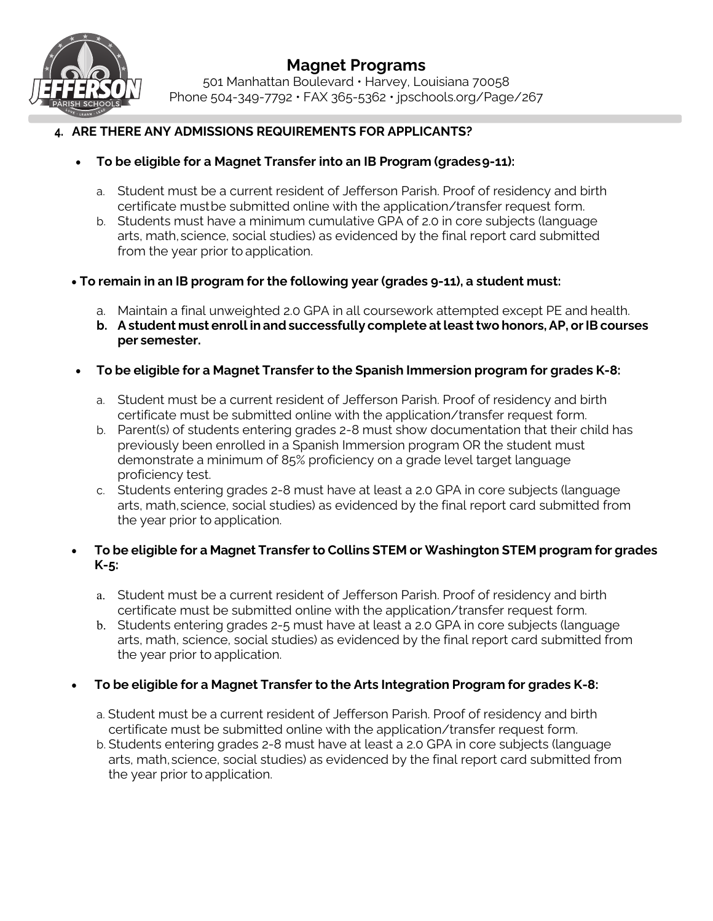

# **Magnet Programs**

501 Manhattan Boulevard • Harvey, Louisiana 70058 Phone 504-349-7792 • FAX 365-5362 • jpschools.org/Page/267

### **4. ARE THERE ANY ADMISSIONS REQUIREMENTS FOR APPLICANTS?**

- **To be eligible for a Magnet Transfer into an IB Program (grades9-11):**
	- a. Student must be a current resident of Jefferson Parish. Proof of residency and birth certificate mustbe submitted online with the application/transfer request form.
	- b. Students must have a minimum cumulative GPA of 2.0 in core subjects (language arts, math,science, social studies) as evidenced by the final report card submitted from the year prior to application.
- **To remain in an IB program for the following year (grades 9-11), a student must:**
	- a. Maintain a final unweighted 2.0 GPA in all coursework attempted except PE and health.
	- **b. Astudent must enroll in and successfully complete atleasttwo honors,AP, orIBcourses per semester.**
- **To be eligible for a Magnet Transfer to the Spanish Immersion program for grades K-8:**
	- a. Student must be a current resident of Jefferson Parish. Proof of residency and birth certificate must be submitted online with the application/transfer request form.
	- b. Parent(s) of students entering grades 2-8 must show documentation that their child has previously been enrolled in a Spanish Immersion program OR the student must demonstrate a minimum of 85% proficiency on a grade level target language proficiency test.
	- c. Students entering grades 2-8 must have at least a 2.0 GPA in core subjects (language arts, math,science, social studies) as evidenced by the final report card submitted from the year prior to application.

#### • **To be eligible for a Magnet Transfer to Collins STEM or Washington STEM program for grades K-5:**

- a. Student must be a current resident of Jefferson Parish. Proof of residency and birth certificate must be submitted online with the application/transfer request form.
- b. Students entering grades 2-5 must have at least a 2.0 GPA in core subjects (language arts, math, science, social studies) as evidenced by the final report card submitted from the year prior to application.

#### • **To be eligible for a Magnet Transfer to the Arts Integration Program for grades K-8:**

- a. Student must be a current resident of Jefferson Parish. Proof of residency and birth certificate must be submitted online with the application/transfer request form.
- b. Students entering grades 2-8 must have at least a 2.0 GPA in core subjects (language arts, math,science, social studies) as evidenced by the final report card submitted from the year prior to application.